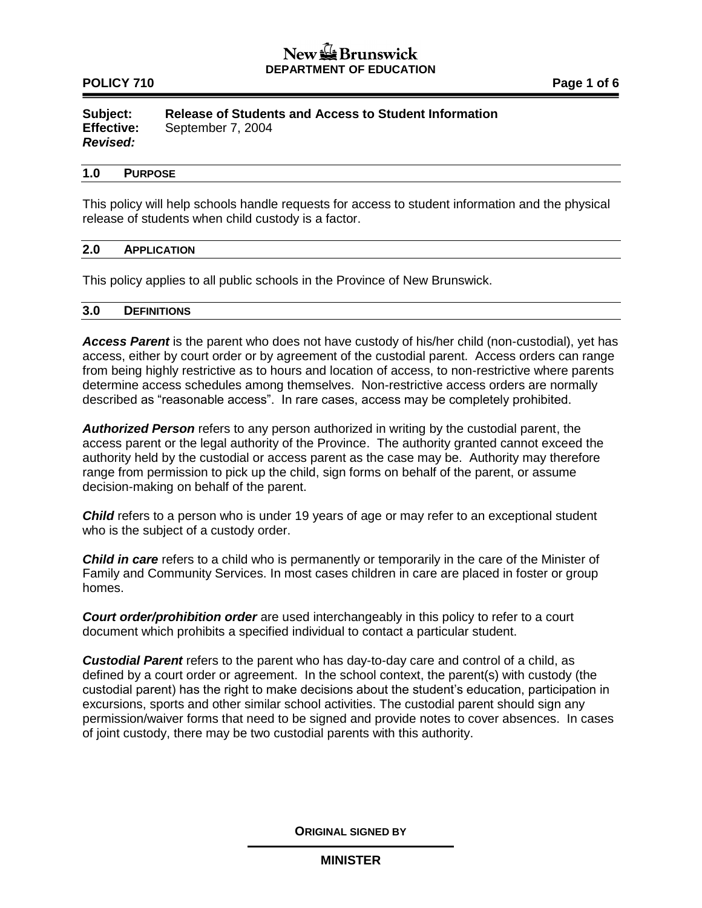## $New  $\frac{1}{2}$  Brunswick$ **DEPARTMENT OF EDUCATION**

## **POLICY 710 POLICY 710**

**Subject: Release of Students and Access to Student Information Effective:** September 7, 2004 *Revised:*

#### **1.0 PURPOSE**

This policy will help schools handle requests for access to student information and the physical release of students when child custody is a factor.

#### **2.0 APPLICATION**

This policy applies to all public schools in the Province of New Brunswick.

#### **3.0 DEFINITIONS**

*Access Parent* is the parent who does not have custody of his/her child (non-custodial), yet has access, either by court order or by agreement of the custodial parent. Access orders can range from being highly restrictive as to hours and location of access, to non-restrictive where parents determine access schedules among themselves. Non-restrictive access orders are normally described as "reasonable access". In rare cases, access may be completely prohibited.

*Authorized Person* refers to any person authorized in writing by the custodial parent, the access parent or the legal authority of the Province. The authority granted cannot exceed the authority held by the custodial or access parent as the case may be. Authority may therefore range from permission to pick up the child, sign forms on behalf of the parent, or assume decision-making on behalf of the parent.

**Child** refers to a person who is under 19 years of age or may refer to an exceptional student who is the subject of a custody order.

*Child in care* refers to a child who is permanently or temporarily in the care of the Minister of Family and Community Services. In most cases children in care are placed in foster or group homes.

*Court order/prohibition order* are used interchangeably in this policy to refer to a court document which prohibits a specified individual to contact a particular student.

*Custodial Parent* refers to the parent who has day-to-day care and control of a child, as defined by a court order or agreement. In the school context, the parent(s) with custody (the custodial parent) has the right to make decisions about the student's education, participation in excursions, sports and other similar school activities. The custodial parent should sign any permission/waiver forms that need to be signed and provide notes to cover absences. In cases of joint custody, there may be two custodial parents with this authority.

**ORIGINAL SIGNED BY**

### **MINISTER**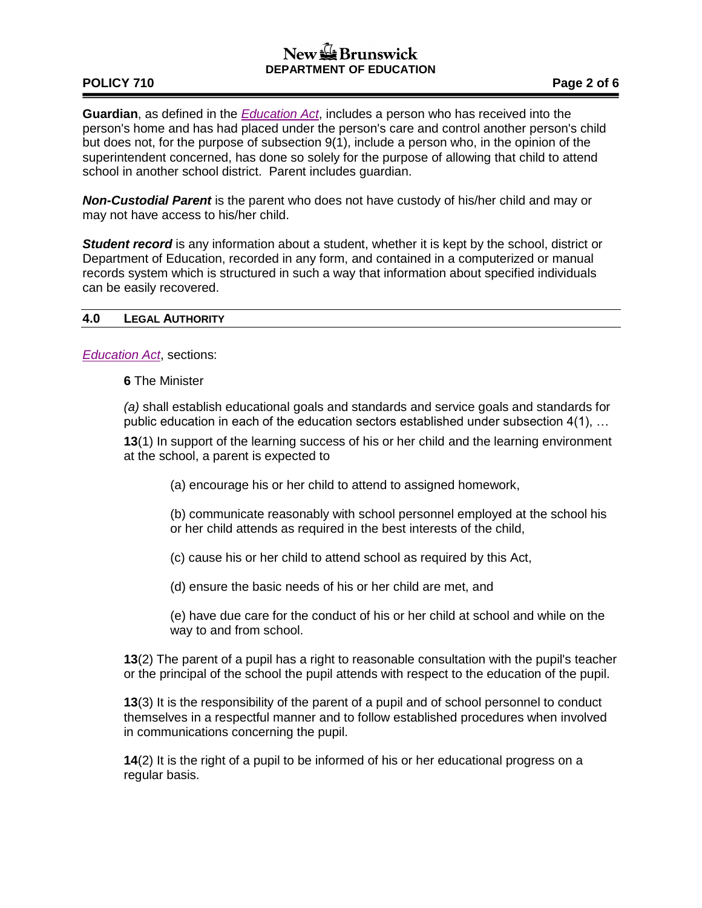# $New \bigoplus$  Brunswick **DEPARTMENT OF EDUCATION**

# **POLICY 710 Page 2 of 6**

**Guardian**, as defined in the *[Education Act](http://laws.gnb.ca/en/ShowPdf/cs/E-1.12.pdf)*, includes a person who has received into the person's home and has had placed under the person's care and control another person's child but does not, for the purpose of subsection 9(1), include a person who, in the opinion of the superintendent concerned, has done so solely for the purpose of allowing that child to attend school in another school district. Parent includes guardian.

*Non-Custodial Parent* is the parent who does not have custody of his/her child and may or may not have access to his/her child.

*Student record* is any information about a student, whether it is kept by the school, district or Department of Education, recorded in any form, and contained in a computerized or manual records system which is structured in such a way that information about specified individuals can be easily recovered.

### **4.0 LEGAL AUTHORITY**

*[Education Act](http://laws.gnb.ca/en/ShowPdf/cs/E-1.12.pdf)*, sections:

**6** The Minister

*(a)* shall establish educational goals and standards and service goals and standards for public education in each of the education sectors established under subsection 4(1), …

**13**(1) In support of the learning success of his or her child and the learning environment at the school, a parent is expected to

(a) encourage his or her child to attend to assigned homework,

(b) communicate reasonably with school personnel employed at the school his or her child attends as required in the best interests of the child,

(c) cause his or her child to attend school as required by this Act,

(d) ensure the basic needs of his or her child are met, and

(e) have due care for the conduct of his or her child at school and while on the way to and from school.

**13**(2) The parent of a pupil has a right to reasonable consultation with the pupil's teacher or the principal of the school the pupil attends with respect to the education of the pupil.

**13**(3) It is the responsibility of the parent of a pupil and of school personnel to conduct themselves in a respectful manner and to follow established procedures when involved in communications concerning the pupil.

**14**(2) It is the right of a pupil to be informed of his or her educational progress on a regular basis.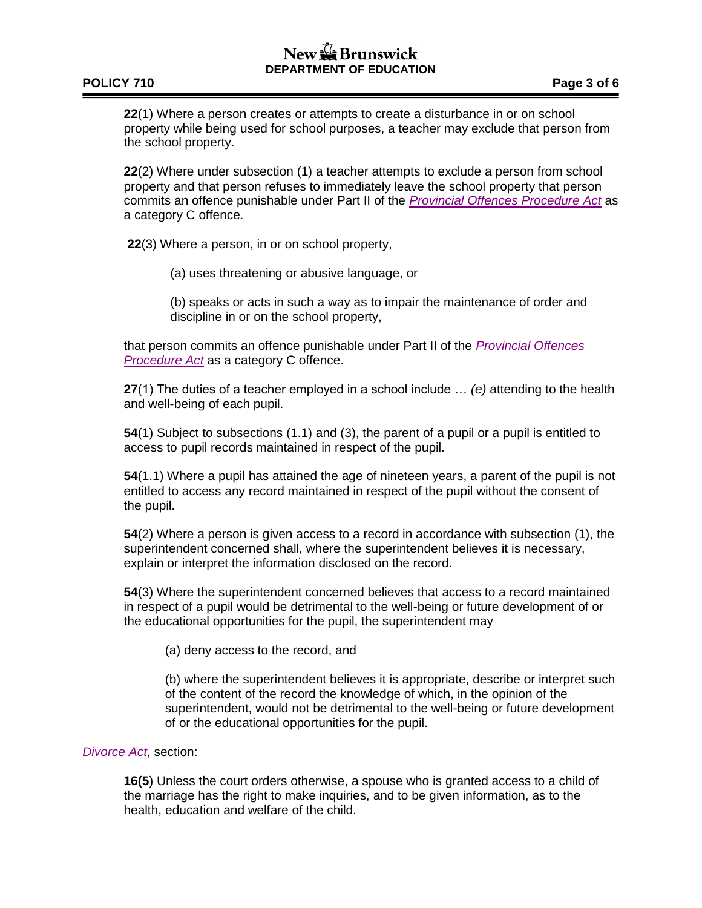# New & Brunswick **DEPARTMENT OF EDUCATION**

### **POLICY 710 Page 3 of 6**

**22**(1) Where a person creates or attempts to create a disturbance in or on school property while being used for school purposes, a teacher may exclude that person from the school property.

**22**(2) Where under subsection (1) a teacher attempts to exclude a person from school property and that person refuses to immediately leave the school property that person commits an offence punishable under Part II of the *[Provincial Offences Procedure Act](http://laws.gnb.ca/en/ShowPdf/cs/P-22.1.pdf)* as a category C offence.

**22**(3) Where a person, in or on school property,

(a) uses threatening or abusive language, or

(b) speaks or acts in such a way as to impair the maintenance of order and discipline in or on the school property,

that person commits an offence punishable under Part II of the *[Provincial Offences](http://laws.gnb.ca/en/ShowPdf/cs/P-22.1.pdf)  [Procedure Act](http://laws.gnb.ca/en/ShowPdf/cs/P-22.1.pdf)* as a category C offence.

**27**(1) The duties of a teacher employed in a school include … *(e)* attending to the health and well-being of each pupil.

**54**(1) Subject to subsections (1.1) and (3), the parent of a pupil or a pupil is entitled to access to pupil records maintained in respect of the pupil.

**54**(1.1) Where a pupil has attained the age of nineteen years, a parent of the pupil is not entitled to access any record maintained in respect of the pupil without the consent of the pupil.

**54**(2) Where a person is given access to a record in accordance with subsection (1), the superintendent concerned shall, where the superintendent believes it is necessary, explain or interpret the information disclosed on the record.

**54**(3) Where the superintendent concerned believes that access to a record maintained in respect of a pupil would be detrimental to the well-being or future development of or the educational opportunities for the pupil, the superintendent may

(a) deny access to the record, and

(b) where the superintendent believes it is appropriate, describe or interpret such of the content of the record the knowledge of which, in the opinion of the superintendent, would not be detrimental to the well-being or future development of or the educational opportunities for the pupil.

### *[Divorce Act](http://laws.justice.gc.ca/PDF/D-3.4.pdf)*, section:

**16(5**) Unless the court orders otherwise, a spouse who is granted access to a child of the marriage has the right to make inquiries, and to be given information, as to the health, education and welfare of the child.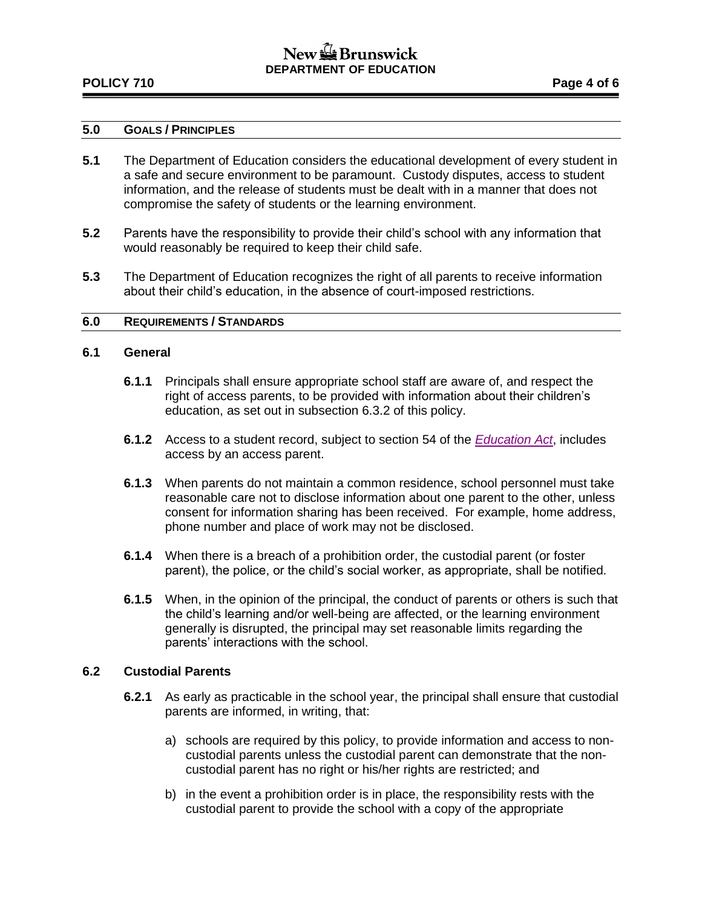## $New \bigoplus$  Brunswick **DEPARTMENT OF EDUCATION**

# **POLICY 710 Page 4 of 6**

### **5.0 GOALS / PRINCIPLES**

- **5.1** The Department of Education considers the educational development of every student in a safe and secure environment to be paramount. Custody disputes, access to student information, and the release of students must be dealt with in a manner that does not compromise the safety of students or the learning environment.
- **5.2** Parents have the responsibility to provide their child's school with any information that would reasonably be required to keep their child safe.
- **5.3** The Department of Education recognizes the right of all parents to receive information about their child's education, in the absence of court-imposed restrictions.

### **6.0 REQUIREMENTS / STANDARDS**

### **6.1 General**

- **6.1.1** Principals shall ensure appropriate school staff are aware of, and respect the right of access parents, to be provided with information about their children's education, as set out in subsection 6.3.2 of this policy.
- **6.1.2** Access to a student record, subject to section 54 of the *[Education Act](http://laws.gnb.ca/en/ShowPdf/cs/E-1.12.pdf)*, includes access by an access parent.
- **6.1.3** When parents do not maintain a common residence, school personnel must take reasonable care not to disclose information about one parent to the other, unless consent for information sharing has been received. For example, home address, phone number and place of work may not be disclosed.
- **6.1.4** When there is a breach of a prohibition order, the custodial parent (or foster parent), the police, or the child's social worker, as appropriate, shall be notified.
- **6.1.5** When, in the opinion of the principal, the conduct of parents or others is such that the child's learning and/or well-being are affected, or the learning environment generally is disrupted, the principal may set reasonable limits regarding the parents' interactions with the school.

### **6.2 Custodial Parents**

- **6.2.1** As early as practicable in the school year, the principal shall ensure that custodial parents are informed, in writing, that:
	- a) schools are required by this policy, to provide information and access to noncustodial parents unless the custodial parent can demonstrate that the noncustodial parent has no right or his/her rights are restricted; and
	- b) in the event a prohibition order is in place, the responsibility rests with the custodial parent to provide the school with a copy of the appropriate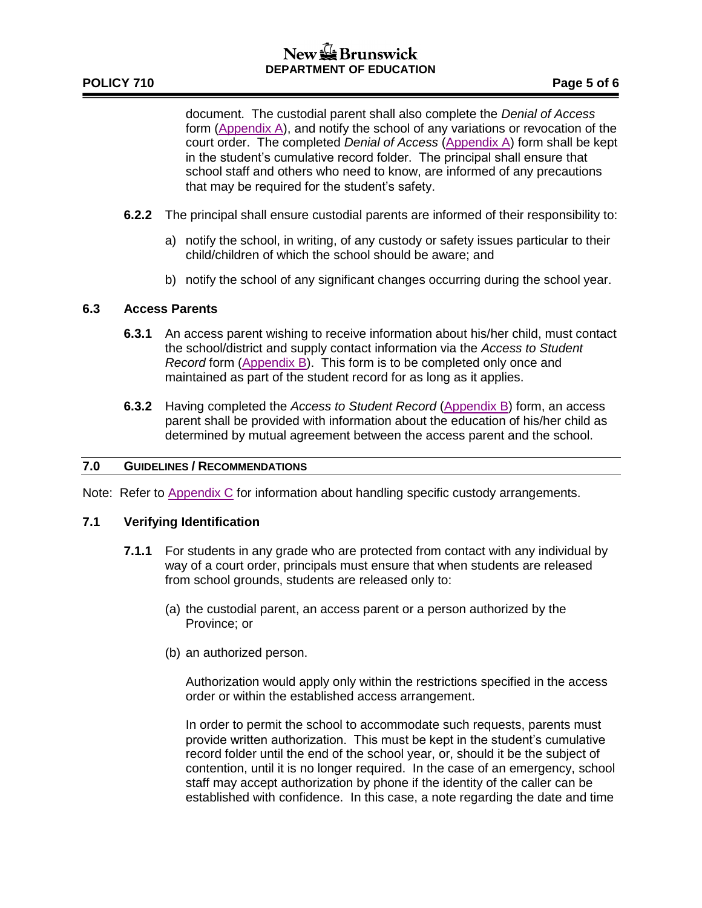document. The custodial parent shall also complete the *Denial of Access* form [\(Appendix A\)](http://www2.gnb.ca/content/dam/gnb/Departments/ed/pdf/K12/policies-politiques/e/710AA.pdf), and notify the school of any variations or revocation of the court order. The completed *Denial of Access* [\(Appendix A\)](http://www2.gnb.ca/content/dam/gnb/Departments/ed/pdf/K12/policies-politiques/e/710AA.pdf) form shall be kept in the student's cumulative record folder. The principal shall ensure that school staff and others who need to know, are informed of any precautions that may be required for the student's safety.

- **6.2.2** The principal shall ensure custodial parents are informed of their responsibility to:
	- a) notify the school, in writing, of any custody or safety issues particular to their child/children of which the school should be aware; and
	- b) notify the school of any significant changes occurring during the school year.

### **6.3 Access Parents**

- **6.3.1** An access parent wishing to receive information about his/her child, must contact the school/district and supply contact information via the *Access to Student Record* form [\(Appendix B\)](http://www2.gnb.ca/content/dam/gnb/Departments/ed/pdf/K12/policies-politiques/e/710AB.pdf). This form is to be completed only once and maintained as part of the student record for as long as it applies.
- **6.3.2** Having completed the *Access to Student Record* [\(Appendix B\)](http://www2.gnb.ca/content/dam/gnb/Departments/ed/pdf/K12/policies-politiques/e/710AB.pdf) form, an access parent shall be provided with information about the education of his/her child as determined by mutual agreement between the access parent and the school.

### **7.0 GUIDELINES / RECOMMENDATIONS**

Note: Refer to [Appendix C](http://www2.gnb.ca/content/dam/gnb/Departments/ed/pdf/K12/policies-politiques/e/710AC.pdf) for information about handling specific custody arrangements.

### **7.1 Verifying Identification**

- **7.1.1** For students in any grade who are protected from contact with any individual by way of a court order, principals must ensure that when students are released from school grounds, students are released only to:
	- (a) the custodial parent, an access parent or a person authorized by the Province; or
	- (b) an authorized person.

Authorization would apply only within the restrictions specified in the access order or within the established access arrangement.

In order to permit the school to accommodate such requests, parents must provide written authorization. This must be kept in the student's cumulative record folder until the end of the school year, or, should it be the subject of contention, until it is no longer required. In the case of an emergency, school staff may accept authorization by phone if the identity of the caller can be established with confidence. In this case, a note regarding the date and time